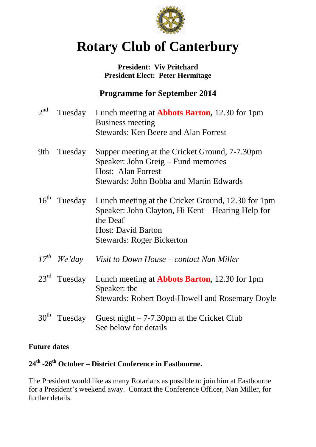

# **Rotary Club of Canterbury**

## **President: Viv Pritchard President Elect: Peter Hermitage**

## **Programme for September 2014**

| $2^{nd}$         | Tuesday          | Lunch meeting at <b>Abbots Barton</b> , 12.30 for 1pm<br><b>Business meeting</b><br><b>Stewards: Ken Beere and Alan Forrest</b>                                                      |
|------------------|------------------|--------------------------------------------------------------------------------------------------------------------------------------------------------------------------------------|
| 9th              | Tuesday          | Supper meeting at the Cricket Ground, 7-7.30pm<br>Speaker: John Greig – Fund memories<br>Host: Alan Forrest<br><b>Stewards: John Bobba and Martin Edwards</b>                        |
| 16 <sup>th</sup> | Tuesday          | Lunch meeting at the Cricket Ground, 12.30 for 1pm<br>Speaker: John Clayton, Hi Kent – Hearing Help for<br>the Deaf<br><b>Host: David Barton</b><br><b>Stewards: Roger Bickerton</b> |
|                  | $17^{th}$ We'day | Visit to Down House – contact Nan Miller                                                                                                                                             |
| $23^{\text{rd}}$ | Tuesday          | Lunch meeting at <b>Abbots Barton</b> , 12.30 for 1pm<br>Speaker: tbc<br><b>Stewards: Robert Boyd-Howell and Rosemary Doyle</b>                                                      |
| 30 <sup>th</sup> | Tuesday          | Guest night $-7-7.30$ pm at the Cricket Club<br>See below for details                                                                                                                |

## **Future dates**

## **24th -26th October – District Conference in Eastbourne.**

The President would like as many Rotarians as possible to join him at Eastbourne for a President's weekend away. Contact the Conference Officer, Nan Miller, for further details.